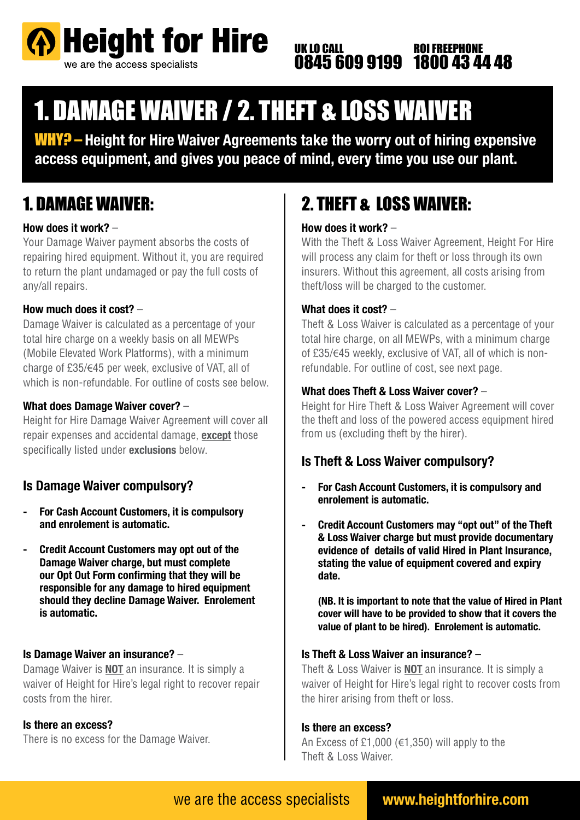

#### UK LO CALL 0845 609 9199 ROI FREEPHONE 1800 43 44 48

# 1. DAMAGE WAIVER / 2. THEFT & LOSS WAIVER

WHY? – **Height for Hire Waiver Agreements take the worry out of hiring expensive access equipment, and gives you peace of mind, every time you use our plant.**

### 1. DAMAGE WAIVER:

#### **How does it work?** –

Your Damage Waiver payment absorbs the costs of repairing hired equipment. Without it, you are required to return the plant undamaged or pay the full costs of any/all repairs.

#### **How much does it cost?** –

Damage Waiver is calculated as a percentage of your total hire charge on a weekly basis on all MEWPs (Mobile Elevated Work Platforms), with a minimum charge of £35/€45 per week, exclusive of VAT, all of which is non-refundable. For outline of costs see below.

#### **What does Damage Waiver cover?** –

Height for Hire Damage Waiver Agreement will cover all repair expenses and accidental damage, **except** those specifically listed under **exclusions** below.

### **Is Damage Waiver compulsory?**

- **For Cash Account Customers, it is compulsory and enrolement is automatic.**
- **Credit Account Customers may opt out of the Damage Waiver charge, but must complete our Opt Out Form confirming that they will be responsible for any damage to hired equipment should they decline Damage Waiver. Enrolement is automatic.**

#### **Is Damage Waiver an insurance?** –

Damage Waiver is **NOT** an insurance. It is simply a waiver of Height for Hire's legal right to recover repair costs from the hirer.

#### **Is there an excess?**

There is no excess for the Damage Waiver.

## 2. THEFT & LOSS WAIVER:

#### **How does it work?** –

With the Theft & Loss Waiver Agreement, Height For Hire will process any claim for theft or loss through its own insurers. Without this agreement, all costs arising from theft/loss will be charged to the customer.

#### **What does it cost?** –

Theft & Loss Waiver is calculated as a percentage of your total hire charge, on all MEWPs, with a minimum charge of £35/€45 weekly, exclusive of VAT, all of which is nonrefundable. For outline of cost, see next page.

#### **What does Theft & Loss Waiver cover?** –

Height for Hire Theft & Loss Waiver Agreement will cover the theft and loss of the powered access equipment hired from us (excluding theft by the hirer).

### **Is Theft & Loss Waiver compulsory?**

- **For Cash Account Customers, it is compulsory and enrolement is automatic.**
- **Credit Account Customers may "opt out" of the Theft & Loss Waiver charge but must provide documentary evidence of details of valid Hired in Plant Insurance, stating the value of equipment covered and expiry date.**

 **(NB. It is important to note that the value of Hired in Plant cover will have to be provided to show that it covers the value of plant to be hired). Enrolement is automatic.**

#### **Is Theft & Loss Waiver an insurance?** –

Theft & Loss Waiver is **NOT** an insurance. It is simply a waiver of Height for Hire's legal right to recover costs from the hirer arising from theft or loss.

#### **Is there an excess?**

An Excess of £1,000 ( $\in$ 1,350) will apply to the Theft & Loss Waiver.